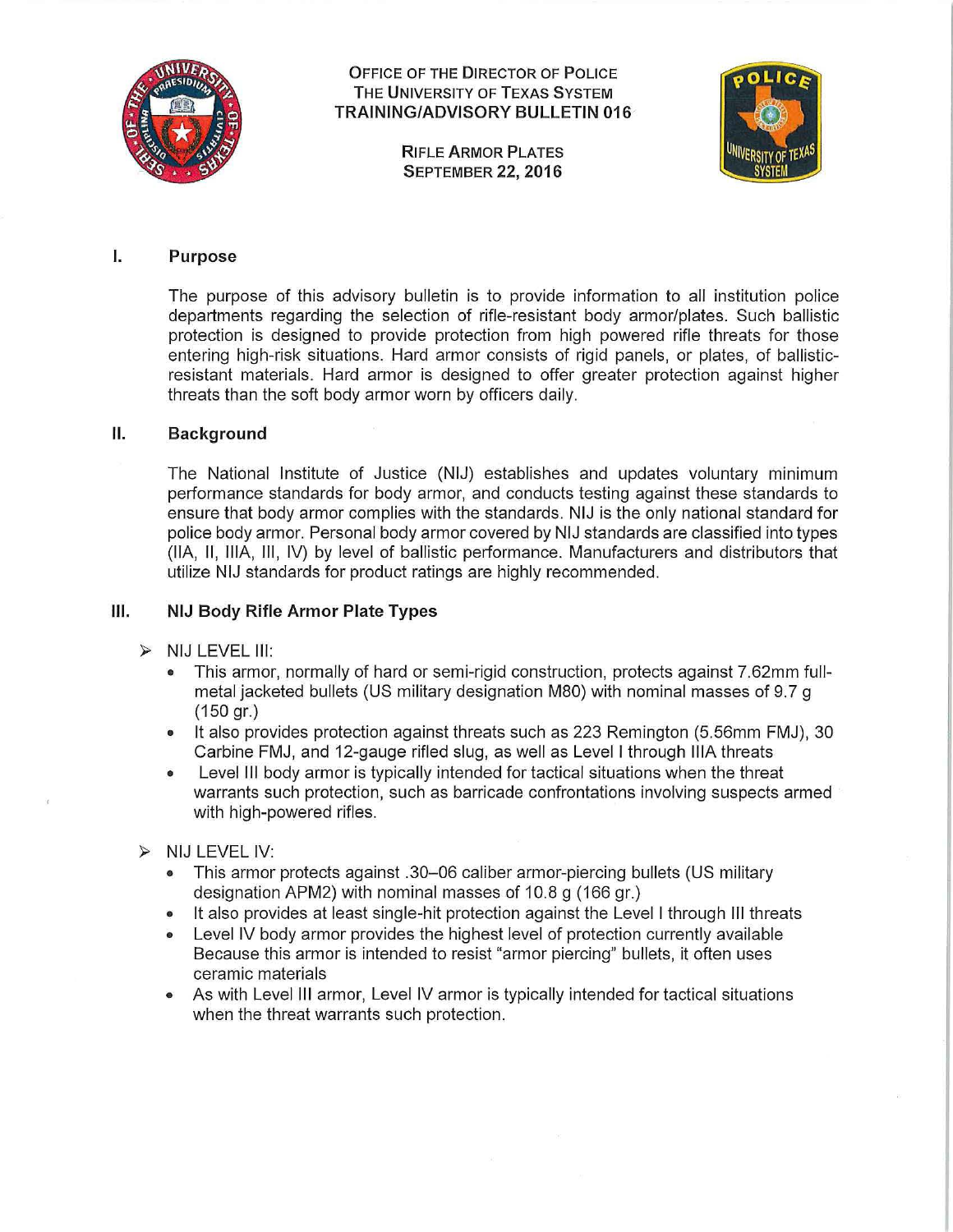

# OFFICE OF THE DIRECTOR OF POLICE<br>THE UNIVERSITY OF TEXAS SYSTEM TRAINING/ADVISORY BULLETIN 016

**SEPTEMBER 22, 2016** 



## I. Purpose

The purpose of this advisory bulletin is to provide information to all institution police departments regarding the selection of rifle-resistant body armor/plates. Such ballistic protection is designed to provide protection from high powered rifle threats for those entering high-risk situations. Hard armor consists of rigid panels, or plates, of ballisticresistant materials. Hard armor is designed to offer greater protection against higher threats than the soft body armor worn by officers daily.

#### II. Background

The National Institute of Justice (NIJ) establishes and updates voluntary minimum performance standards for body armor, and conducts testing against these standards to ensure that body armor complies with the standards. NIJ is the only national standard for police body armor. Personal body armor covered by NIJ standards are classified into types (llA, II, lllA, Ill, IV) by level of ballistic performance. Manufacturers and distributors that utilize NIJ standards for product ratings are highly recommended.

## Ill. NIJ Body Rifle Armor Plate Types

- $>$  NIJ LEVEL III:
	- This armor, normally of hard or semi-rigid construction, protects against 7.62mm fullmetal jacketed bullets (US military designation M80) with nominal masses of 9.7 g (150 gr.)
	- It also provides protection against threats such as 223 Remington (5.56mm FMJ), 30 Carbine FMJ, and 12-gauge rifled slug, as well as Level I through lllA threats
	- Level III body armor is typically intended for tactical situations when the threat warrants such protection, such as barricade confrontations involving suspects armed with high-powered rifles.
- $>$  NIJ LEVEL IV:
	- This armor protects against .30-06 caliber armor-piercing bullets (US military designation APM2) with nominal masses of 10.8 g (166 gr.)
	- It also provides at least single-hit protection against the Level I through III threats
	- Level IV body armor provides the highest level of protection currently available Because this armor is intended to resist "armor piercing" bullets, it often uses ceramic materials
	- As with Level III armor, Level IV armor is typically intended for tactical situations when the threat warrants such protection.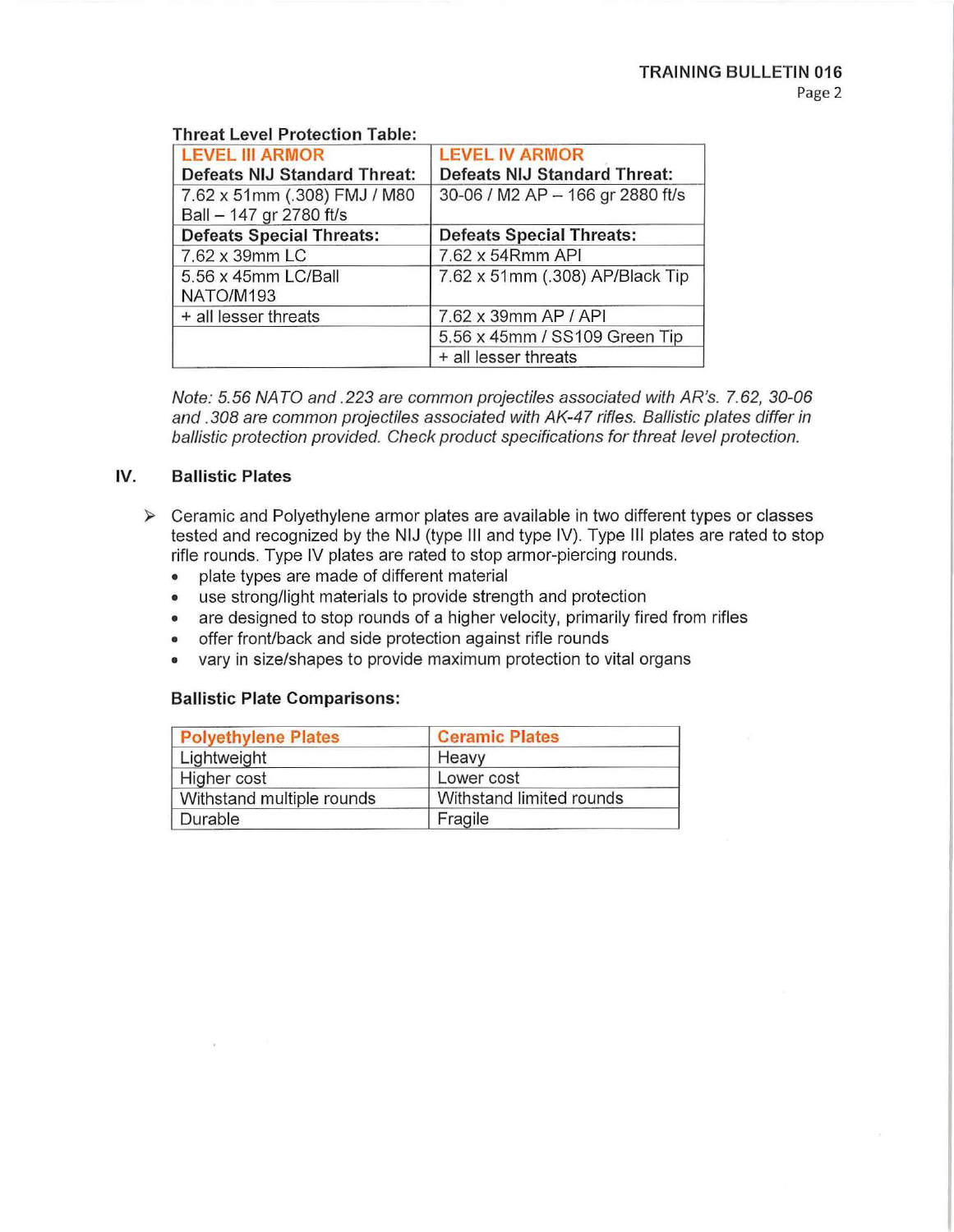# **Threat Level Protection Table:**

| <b>LEVEL III ARMOR</b>                                  | <b>LEVEL IV ARMOR</b>            |
|---------------------------------------------------------|----------------------------------|
| <b>Defeats NIJ Standard Threat:</b>                     | Defeats NIJ Standard Threat:     |
| 7.62 x 51mm (.308) FMJ / M80<br>Ball - 147 gr 2780 ft/s | 30-06 / M2 AP - 166 gr 2880 ft/s |
| <b>Defeats Special Threats:</b>                         | <b>Defeats Special Threats:</b>  |
| 7.62 x 39mm LC                                          | 7.62 x 54Rmm API                 |
| 5.56 x 45mm LC/Ball<br>NATO/M193                        | 7.62 x 51mm (.308) AP/Black Tip  |
| + all lesser threats                                    | 7.62 x 39mm AP / API             |
|                                                         | 5.56 x 45mm / SS109 Green Tip    |
|                                                         | + all lesser threats             |

Note: 5. 56 NA TO and . 223 are common projectiles associated with AR's. 7. 62, 30-06 and .308 are common projectiles associated with AK-47 rifles. Ballistic plates differ in ballistic protection provided. Check product specifications for threat level protection.

# **IV. Ballistic Plates**

- $\triangleright$  Ceramic and Polyethylene armor plates are available in two different types or classes tested and recognized by the NIJ (type Ill and type IV). Type Ill plates are rated to stop rifle rounds. Type IV plates are rated to stop armor-piercing rounds.
	- plate types are made of different material
	- use strong/light materials to provide strength and protection
	- are designed to stop rounds of a higher velocity, primarily fired from rifles
	- offer front/back and side protection against rifle rounds
	- vary in size/shapes to provide maximum protection to vital organs

## **Ballistic Plate Comparisons:**

| <b>Polyethylene Plates</b> | <b>Ceramic Plates</b>    |
|----------------------------|--------------------------|
| Lightweight                | Heavy                    |
| Higher cost                | Lower cost               |
| Withstand multiple rounds  | Withstand limited rounds |
| Durable                    | Fragile                  |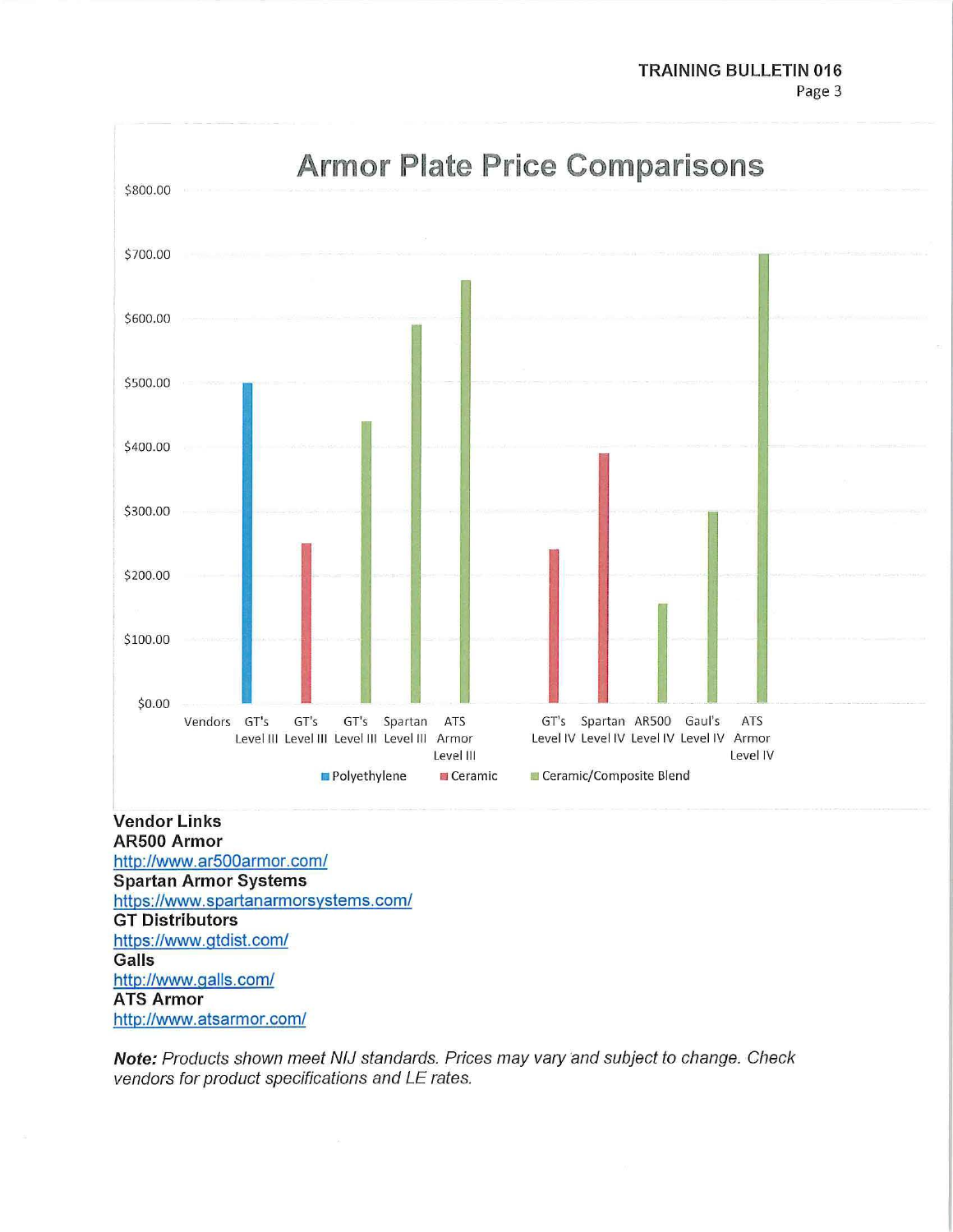

**AR500 Armor http://www.arSOOarmor.com/ Spartan Armor Systems https://www.spartanarmorsystems.com/ GT Distributors https://www.gtdist.com/ Galls http://www.galls.com/ ATS Armor http://www.atsarmor.com/** 

**Note:** Products shown meet NIJ standards. Prices may vary and subject to change. Check vendors for product specifications and LE rates.